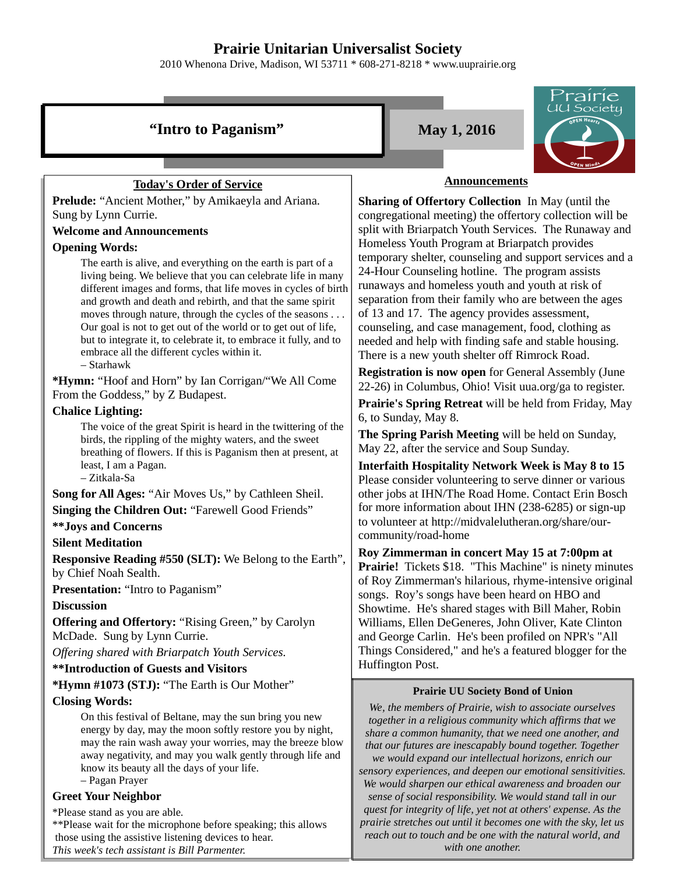# **Prairie Unitarian Universalist Society**

2010 Whenona Drive, Madison, WI 53711 \* 608-271-8218 \* www.uuprairie.org





## **Today's Order of Service**

**Prelude:** "Ancient Mother," by Amikaeyla and Ariana. Sung by Lynn Currie.

#### **Welcome and Announcements**

#### **Opening Words:**

The earth is alive, and everything on the earth is part of a living being. We believe that you can celebrate life in many different images and forms, that life moves in cycles of birth and growth and death and rebirth, and that the same spirit moves through nature, through the cycles of the seasons . . . Our goal is not to get out of the world or to get out of life, but to integrate it, to celebrate it, to embrace it fully, and to embrace all the different cycles within it.

– Starhawk

**\*Hymn:** "Hoof and Horn" by Ian Corrigan/"We All Come From the Goddess," by Z Budapest.

#### **Chalice Lighting:**

The voice of the great Spirit is heard in the twittering of the birds, the rippling of the mighty waters, and the sweet breathing of flowers. If this is Paganism then at present, at least, I am a Pagan.

– Zitkala-Sa

**Song for All Ages:** "Air Moves Us," by Cathleen Sheil.

**Singing the Children Out:** "Farewell Good Friends"

## **\*\*Joys and Concerns**

## **Silent Meditation**

**Responsive Reading #550 (SLT):** We Belong to the Earth", by Chief Noah Sealth.

**Presentation:** "Intro to Paganism"

#### **Discussion**

**Offering and Offertory: "Rising Green," by Carolyn** McDade. Sung by Lynn Currie.

*Offering shared with Briarpatch Youth Services.*

## **\*\*Introduction of Guests and Visitors**

## **\*Hymn #1073 (STJ):** "The Earth is Our Mother"

## **Closing Words:**

On this festival of Beltane, may the sun bring you new energy by day, may the moon softly restore you by night, may the rain wash away your worries, may the breeze blow away negativity, and may you walk gently through life and know its beauty all the days of your life. – Pagan Prayer

# **Greet Your Neighbor**

\*Please stand as you are able.

\*\*Please wait for the microphone before speaking; this allows those using the assistive listening devices to hear.

*This week's tech assistant is Bill Parmenter.*

#### **Announcements**

**Sharing of Offertory Collection** In May (until the congregational meeting) the offertory collection will be split with Briarpatch Youth Services. The Runaway and Homeless Youth Program at Briarpatch provides temporary shelter, counseling and support services and a 24-Hour Counseling hotline. The program assists runaways and homeless youth and youth at risk of separation from their family who are between the ages of 13 and 17. The agency provides assessment, counseling, and case management, food, clothing as needed and help with finding safe and stable housing. There is a new youth shelter off Rimrock Road.

**Registration is now open** for General Assembly (June 22-26) in Columbus, Ohio! Visit uua.org/ga to register. **Prairie's Spring Retreat** will be held from Friday, May 6, to Sunday, May 8.

**The Spring Parish Meeting** will be held on Sunday, May 22, after the service and Soup Sunday.

**Interfaith Hospitality Network Week is May 8 to 15** Please consider volunteering to serve dinner or various other jobs at IHN/The Road Home. Contact Erin Bosch for more information about IHN (238-6285) or sign-up to volunteer at http://midvalelutheran.org/share/ourcommunity/road-home

**Roy Zimmerman in concert May 15 at 7:00pm at Prairie!** Tickets \$18. "This Machine" is ninety minutes of Roy Zimmerman's hilarious, rhyme-intensive original songs. Roy's songs have been heard on HBO and Showtime. He's shared stages with Bill Maher, Robin Williams, Ellen DeGeneres, John Oliver, Kate Clinton and George Carlin. He's been profiled on NPR's "All Things Considered," and he's a featured blogger for the Huffington Post.

## **Prairie UU Society Bond of Union**

*We, the members of Prairie, wish to associate ourselves together in a religious community which affirms that we share a common humanity, that we need one another, and that our futures are inescapably bound together. Together we would expand our intellectual horizons, enrich our sensory experiences, and deepen our emotional sensitivities. We would sharpen our ethical awareness and broaden our sense of social responsibility. We would stand tall in our quest for integrity of life, yet not at others' expense. As the prairie stretches out until it becomes one with the sky, let us reach out to touch and be one with the natural world, and with one another.*